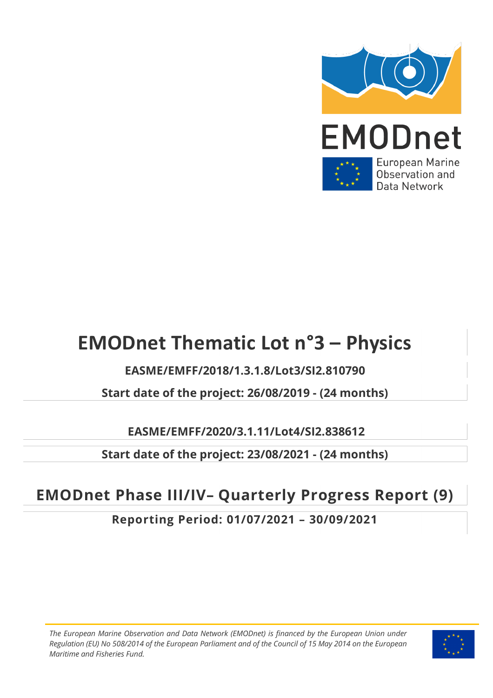

# **EMODnet Thematic Lot n°3 – Physics**

**EASME/EMFF/2018/1.3.1.8/Lot3/SI2.810790**

**Start date of the project: 26/08/2019 - (24 months)** 

**EASME/EMFF/2020/3.1.11/Lot4/SI2.838612**

**Start date of the project: 23/08/2021 - (24 months)** 

# **EMODnet Phase III/IV– Quarterly Progress Report (9)**

**Reporting Period: 01/07/2021 – 30/09/2021**

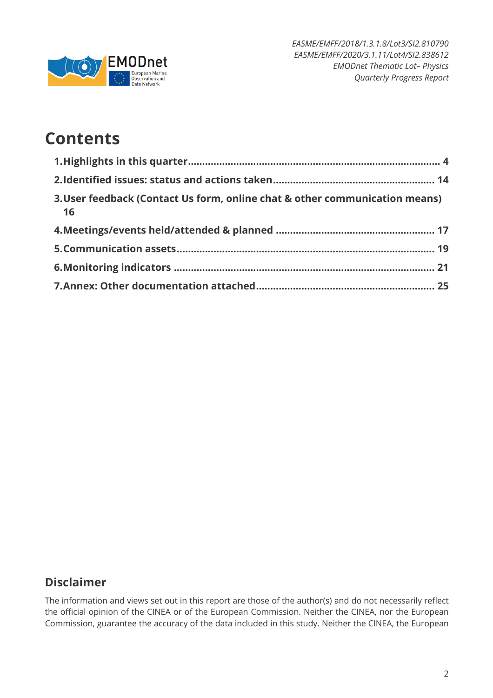

# **Contents**

| 3. User feedback (Contact Us form, online chat & other communication means)<br>16 |  |
|-----------------------------------------------------------------------------------|--|
|                                                                                   |  |
|                                                                                   |  |
|                                                                                   |  |
|                                                                                   |  |

## **Disclaimer**

The information and views set out in this report are those of the author(s) and do not necessarily reflect the official opinion of the CINEA or of the European Commission. Neither the CINEA, nor the European Commission, guarantee the accuracy of the data included in this study. Neither the CINEA, the European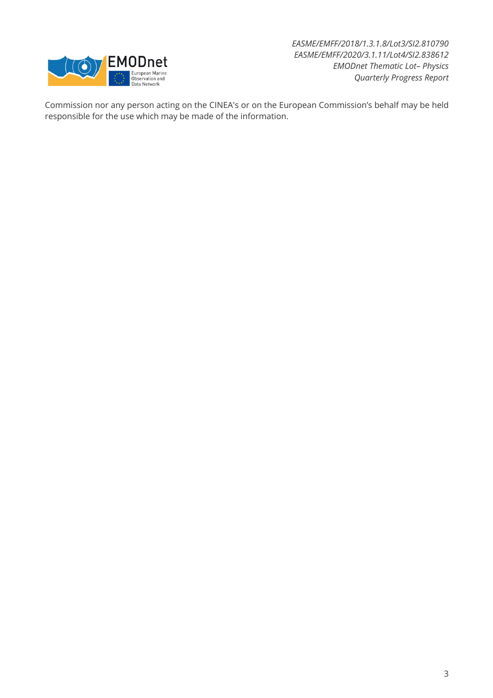

Commission nor any person acting on the CINEA's or on the European Commission's behalf may be held responsible for the use which may be made of the information.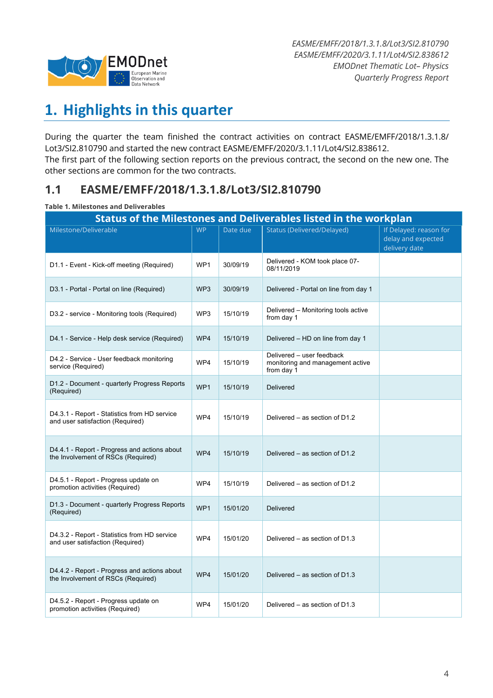

# **1. Highlights in this quarter**

During the quarter the team finished the contract activities on contract EASME/EMFF/2018/1.3.1.8/ Lot3/SI2.810790 and started the new contract EASME/EMFF/2020/3.1.11/Lot4/SI2.838612. The first part of the following section reports on the previous contract, the second on the new one. The other sections are common for the two contracts.

### **1.1 EASME/EMFF/2018/1.3.1.8/Lot3/SI2.810790**

#### **Table 1. Milestones and Deliverables**

| <b>Status of the Milestones and Deliverables listed in the workplan</b>            |                 |          |                                                                             |                                                               |  |  |  |  |
|------------------------------------------------------------------------------------|-----------------|----------|-----------------------------------------------------------------------------|---------------------------------------------------------------|--|--|--|--|
| Milestone/Deliverable                                                              | <b>WP</b>       | Date due | <b>Status (Delivered/Delayed)</b>                                           | If Delayed: reason for<br>delay and expected<br>delivery date |  |  |  |  |
| D1.1 - Event - Kick-off meeting (Required)                                         | WP1             | 30/09/19 | Delivered - KOM took place 07-<br>08/11/2019                                |                                                               |  |  |  |  |
| D3.1 - Portal - Portal on line (Required)                                          | WP <sub>3</sub> | 30/09/19 | Delivered - Portal on line from day 1                                       |                                                               |  |  |  |  |
| D3.2 - service - Monitoring tools (Required)                                       | WP3             | 15/10/19 | Delivered - Monitoring tools active<br>from day 1                           |                                                               |  |  |  |  |
| D4.1 - Service - Help desk service (Required)                                      | WP4             | 15/10/19 | Delivered - HD on line from day 1                                           |                                                               |  |  |  |  |
| D4.2 - Service - User feedback monitoring<br>service (Required)                    | WP4             | 15/10/19 | Delivered - user feedback<br>monitoring and management active<br>from day 1 |                                                               |  |  |  |  |
| D1.2 - Document - quarterly Progress Reports<br>(Required)                         | WP1             | 15/10/19 | <b>Delivered</b>                                                            |                                                               |  |  |  |  |
| D4.3.1 - Report - Statistics from HD service<br>and user satisfaction (Required)   | WP4             | 15/10/19 | Delivered - as section of D1.2                                              |                                                               |  |  |  |  |
| D4.4.1 - Report - Progress and actions about<br>the Involvement of RSCs (Required) | WP4             | 15/10/19 | Delivered – as section of D1.2                                              |                                                               |  |  |  |  |
| D4.5.1 - Report - Progress update on<br>promotion activities (Required)            | WP4             | 15/10/19 | Delivered – as section of D1.2                                              |                                                               |  |  |  |  |
| D1.3 - Document - quarterly Progress Reports<br>(Required)                         | WP1             | 15/01/20 | <b>Delivered</b>                                                            |                                                               |  |  |  |  |
| D4.3.2 - Report - Statistics from HD service<br>and user satisfaction (Required)   | WP4             | 15/01/20 | Delivered - as section of D1.3                                              |                                                               |  |  |  |  |
| D4.4.2 - Report - Progress and actions about<br>the Involvement of RSCs (Required) | WP4             | 15/01/20 | Delivered – as section of D1.3                                              |                                                               |  |  |  |  |
| D4.5.2 - Report - Progress update on<br>promotion activities (Required)            | WP4             | 15/01/20 | Delivered – as section of D1.3                                              |                                                               |  |  |  |  |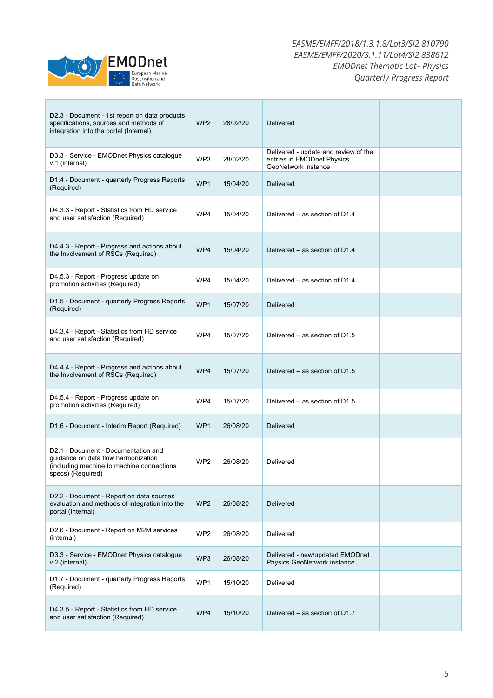

| D2.3 - Document - 1st report on data products<br>specifications, sources and methods of<br>integration into the portal (Internal)                         | WP <sub>2</sub> | 28/02/20 | <b>Delivered</b>                                                                          |  |
|-----------------------------------------------------------------------------------------------------------------------------------------------------------|-----------------|----------|-------------------------------------------------------------------------------------------|--|
| D3.3 - Service - EMODnet Physics catalogue<br>v.1 (internal)                                                                                              | WP3             | 28/02/20 | Delivered - update and review of the<br>entries in EMODnet Physics<br>GeoNetwork instance |  |
| D1.4 - Document - quarterly Progress Reports<br>(Required)                                                                                                | WP1             | 15/04/20 | Delivered                                                                                 |  |
| D4.3.3 - Report - Statistics from HD service<br>and user satisfaction (Required)                                                                          | WP4             | 15/04/20 | Delivered – as section of D1.4                                                            |  |
| D4.4.3 - Report - Progress and actions about<br>the Involvement of RSCs (Required)                                                                        | WP4             | 15/04/20 | Delivered – as section of D1.4                                                            |  |
| D4.5.3 - Report - Progress update on<br>promotion activities (Required)                                                                                   | WP4             | 15/04/20 | Delivered – as section of D1.4                                                            |  |
| D1.5 - Document - quarterly Progress Reports<br>(Required)                                                                                                | WP <sub>1</sub> | 15/07/20 | <b>Delivered</b>                                                                          |  |
| D4.3.4 - Report - Statistics from HD service<br>and user satisfaction (Required)                                                                          | WP4             | 15/07/20 | Delivered – as section of D1.5                                                            |  |
| D4.4.4 - Report - Progress and actions about<br>the Involvement of RSCs (Required)                                                                        | WP4             | 15/07/20 | Delivered – as section of D1.5                                                            |  |
| D4.5.4 - Report - Progress update on<br>promotion activities (Required)                                                                                   | WP4             | 15/07/20 | Delivered – as section of D1.5                                                            |  |
| D1.6 - Document - Interim Report (Required)                                                                                                               | WP <sub>1</sub> | 26/08/20 | <b>Delivered</b>                                                                          |  |
| D <sub>2.1</sub> - Document - Documentation and<br>guidance on data flow harmonization<br>(including machine to machine connections)<br>specs) (Required) | WP2             | 26/08/20 | Delivered                                                                                 |  |
| D2.2 - Document - Report on data sources<br>evaluation and methods of integration into the<br>portal (Internal)                                           | WP <sub>2</sub> | 26/08/20 | <b>Delivered</b>                                                                          |  |
| D2.6 - Document - Report on M2M services<br>(internal)                                                                                                    | WP <sub>2</sub> | 26/08/20 | Delivered                                                                                 |  |
| D3.3 - Service - EMODnet Physics catalogue<br>v.2 (internal)                                                                                              | WP3             | 26/08/20 | Delivered - new/updated EMODnet<br>Physics GeoNetwork instance                            |  |
| D1.7 - Document - quarterly Progress Reports<br>(Required)                                                                                                | WP1             | 15/10/20 | Delivered                                                                                 |  |
| D4.3.5 - Report - Statistics from HD service<br>and user satisfaction (Required)                                                                          | WP4             | 15/10/20 | Delivered – as section of D1.7                                                            |  |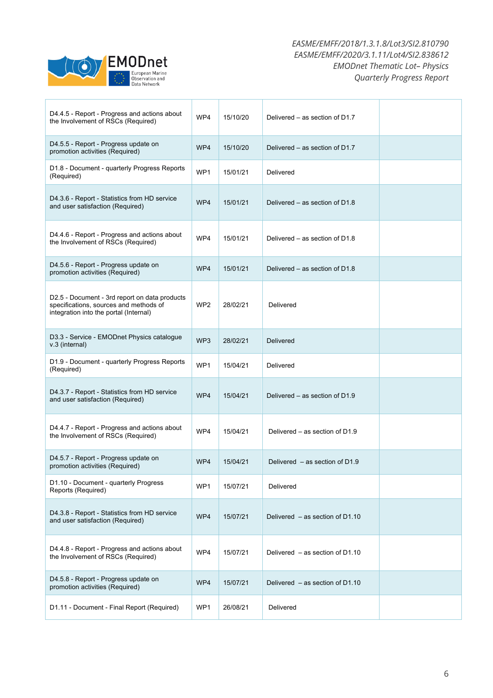

| D4.4.5 - Report - Progress and actions about<br>the Involvement of RSCs (Required)                                                | WP4             | 15/10/20 | Delivered – as section of D1.7    |  |
|-----------------------------------------------------------------------------------------------------------------------------------|-----------------|----------|-----------------------------------|--|
| D4.5.5 - Report - Progress update on<br>promotion activities (Required)                                                           | WP4             | 15/10/20 | Delivered – as section of D1.7    |  |
| D1.8 - Document - quarterly Progress Reports<br>(Required)                                                                        | WP1             | 15/01/21 | Delivered                         |  |
| D4.3.6 - Report - Statistics from HD service<br>and user satisfaction (Required)                                                  | WP4             | 15/01/21 | Delivered – as section of D1.8    |  |
| D4.4.6 - Report - Progress and actions about<br>the Involvement of RSCs (Required)                                                | WP4             | 15/01/21 | Delivered – as section of D1.8    |  |
| D4.5.6 - Report - Progress update on<br>promotion activities (Required)                                                           | WP4             | 15/01/21 | Delivered - as section of D1.8    |  |
| D2.5 - Document - 3rd report on data products<br>specifications, sources and methods of<br>integration into the portal (Internal) | WP <sub>2</sub> | 28/02/21 | Delivered                         |  |
| D3.3 - Service - EMODnet Physics catalogue<br>v.3 (internal)                                                                      | WP <sub>3</sub> | 28/02/21 | Delivered                         |  |
| D1.9 - Document - quarterly Progress Reports<br>(Required)                                                                        | WP1             | 15/04/21 | Delivered                         |  |
| D4.3.7 - Report - Statistics from HD service<br>and user satisfaction (Required)                                                  | WP4             | 15/04/21 | Delivered - as section of D1.9    |  |
| D4.4.7 - Report - Progress and actions about<br>the Involvement of RSCs (Required)                                                | WP4             | 15/04/21 | Delivered – as section of $D1.9$  |  |
| D4.5.7 - Report - Progress update on<br>promotion activities (Required)                                                           | WP4             | 15/04/21 | Delivered $-$ as section of D1.9  |  |
| D1.10 - Document - quarterly Progress<br>Reports (Required)                                                                       | WP1             | 15/07/21 | Delivered                         |  |
| D4.3.8 - Report - Statistics from HD service<br>and user satisfaction (Required)                                                  | WP4             | 15/07/21 | Delivered $-$ as section of D1.10 |  |
| D4.4.8 - Report - Progress and actions about<br>the Involvement of RSCs (Required)                                                | WP4             | 15/07/21 | Delivered - as section of D1.10   |  |
| D4.5.8 - Report - Progress update on<br>promotion activities (Required)                                                           | WP4             | 15/07/21 | Delivered $-$ as section of D1.10 |  |
| D1.11 - Document - Final Report (Required)                                                                                        | WP1             | 26/08/21 | Delivered                         |  |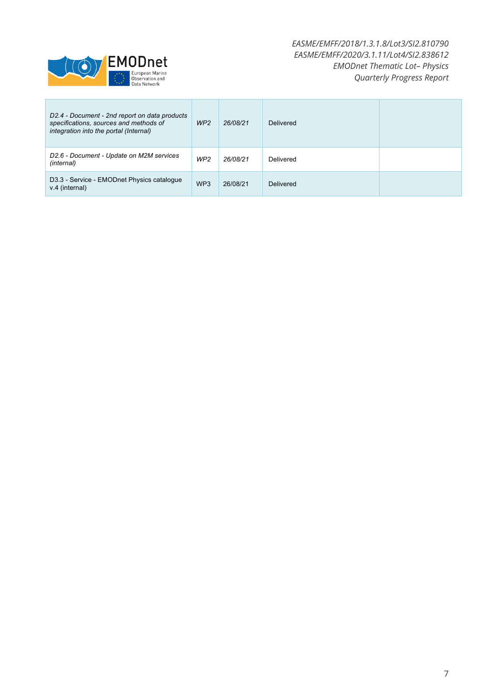

| D2.4 - Document - 2nd report on data products<br>specifications, sources and methods of<br>integration into the portal (Internal) | WP <sub>2</sub> | 26/08/21 | Delivered |  |
|-----------------------------------------------------------------------------------------------------------------------------------|-----------------|----------|-----------|--|
| D2.6 - Document - Update on M2M services<br>(internal)                                                                            | WP <sub>2</sub> | 26/08/21 | Delivered |  |
| D3.3 - Service - EMODnet Physics catalogue<br>v.4 (internal)                                                                      | WP <sub>3</sub> | 26/08/21 | Delivered |  |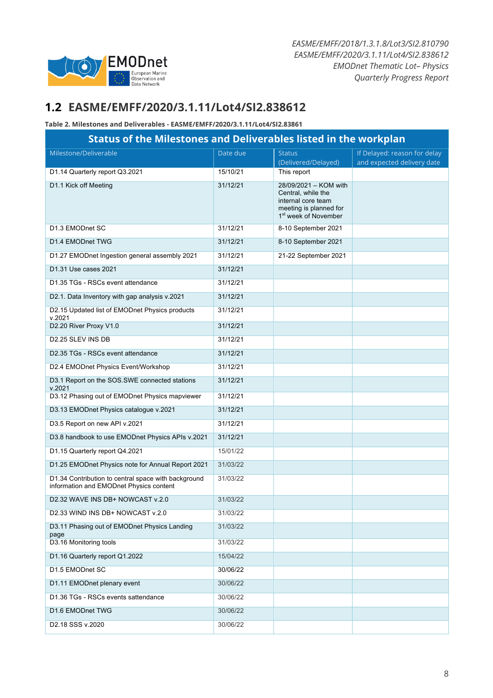

## **1.2 EASME/EMFF/2020/3.1.11/Lot4/SI2.838612**

#### **Table 2. Milestones and Deliverables - EASME/EMFF/2020/3.1.11/Lot4/SI2.83861**

| <b>Status of the Milestones and Deliverables listed in the workplan</b>                        |          |                                                                                                                                 |                                                            |  |  |  |
|------------------------------------------------------------------------------------------------|----------|---------------------------------------------------------------------------------------------------------------------------------|------------------------------------------------------------|--|--|--|
| Milestone/Deliverable                                                                          | Date due | <b>Status</b><br>(Delivered/Delayed)                                                                                            | If Delayed: reason for delay<br>and expected delivery date |  |  |  |
| D1.14 Quarterly report Q3.2021                                                                 | 15/10/21 | This report                                                                                                                     |                                                            |  |  |  |
| D1.1 Kick off Meeting                                                                          | 31/12/21 | 28/09/2021 - KOM with<br>Central, while the<br>internal core team<br>meeting is planned for<br>1 <sup>st</sup> week of November |                                                            |  |  |  |
| D1.3 EMODnet SC                                                                                | 31/12/21 | 8-10 September 2021                                                                                                             |                                                            |  |  |  |
| D1.4 EMODnet TWG                                                                               | 31/12/21 | 8-10 September 2021                                                                                                             |                                                            |  |  |  |
| D1.27 EMODnet Ingestion general assembly 2021                                                  | 31/12/21 | 21-22 September 2021                                                                                                            |                                                            |  |  |  |
| D1.31 Use cases 2021                                                                           | 31/12/21 |                                                                                                                                 |                                                            |  |  |  |
| D1.35 TGs - RSCs event attendance                                                              | 31/12/21 |                                                                                                                                 |                                                            |  |  |  |
| D2.1. Data Inventory with gap analysis v.2021                                                  | 31/12/21 |                                                                                                                                 |                                                            |  |  |  |
| D2.15 Updated list of EMODnet Physics products<br>v.2021                                       | 31/12/21 |                                                                                                                                 |                                                            |  |  |  |
| D2.20 River Proxy V1.0                                                                         | 31/12/21 |                                                                                                                                 |                                                            |  |  |  |
| D2.25 SLEV INS DB                                                                              | 31/12/21 |                                                                                                                                 |                                                            |  |  |  |
| D2.35 TGs - RSCs event attendance                                                              | 31/12/21 |                                                                                                                                 |                                                            |  |  |  |
| D2.4 EMODnet Physics Event/Workshop                                                            | 31/12/21 |                                                                                                                                 |                                                            |  |  |  |
| D3.1 Report on the SOS.SWE connected stations<br>v.2021                                        | 31/12/21 |                                                                                                                                 |                                                            |  |  |  |
| D3.12 Phasing out of EMODnet Physics mapviewer                                                 | 31/12/21 |                                                                                                                                 |                                                            |  |  |  |
| D3.13 EMODnet Physics catalogue v.2021                                                         | 31/12/21 |                                                                                                                                 |                                                            |  |  |  |
| D3.5 Report on new API v.2021                                                                  | 31/12/21 |                                                                                                                                 |                                                            |  |  |  |
| D3.8 handbook to use EMODnet Physics APIs v.2021                                               | 31/12/21 |                                                                                                                                 |                                                            |  |  |  |
| D1.15 Quarterly report Q4.2021                                                                 | 15/01/22 |                                                                                                                                 |                                                            |  |  |  |
| D1.25 EMODnet Physics note for Annual Report 2021                                              | 31/03/22 |                                                                                                                                 |                                                            |  |  |  |
| D1.34 Contribution to central space with background<br>information and EMODnet Physics content | 31/03/22 |                                                                                                                                 |                                                            |  |  |  |
| D2.32 WAVE INS DB+ NOWCAST v.2.0                                                               | 31/03/22 |                                                                                                                                 |                                                            |  |  |  |
| D2.33 WIND INS DB+ NOWCAST v.2.0                                                               | 31/03/22 |                                                                                                                                 |                                                            |  |  |  |
| D3.11 Phasing out of EMODnet Physics Landing<br>page                                           | 31/03/22 |                                                                                                                                 |                                                            |  |  |  |
| D3.16 Monitoring tools                                                                         | 31/03/22 |                                                                                                                                 |                                                            |  |  |  |
| D1.16 Quarterly report Q1.2022                                                                 | 15/04/22 |                                                                                                                                 |                                                            |  |  |  |
| D1.5 EMODnet SC                                                                                | 30/06/22 |                                                                                                                                 |                                                            |  |  |  |
| D1.11 EMODnet plenary event                                                                    | 30/06/22 |                                                                                                                                 |                                                            |  |  |  |
| D1.36 TGs - RSCs events sattendance                                                            | 30/06/22 |                                                                                                                                 |                                                            |  |  |  |
| D1.6 EMODnet TWG                                                                               | 30/06/22 |                                                                                                                                 |                                                            |  |  |  |
| D2.18 SSS v.2020                                                                               | 30/06/22 |                                                                                                                                 |                                                            |  |  |  |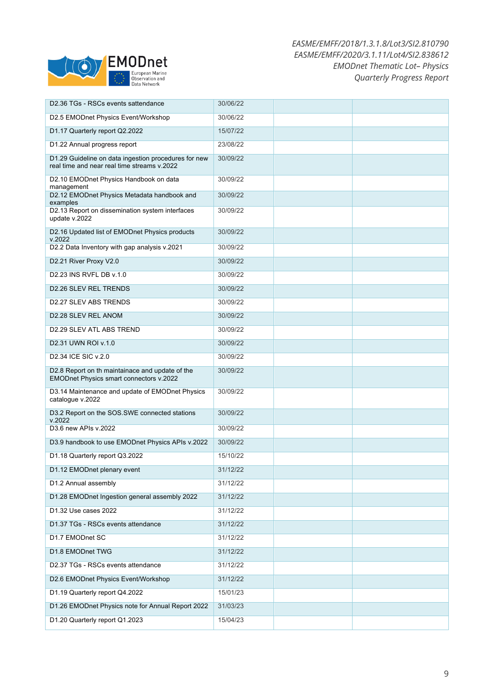

| D2.36 TGs - RSCs events sattendance                                                                 | 30/06/22 |  |
|-----------------------------------------------------------------------------------------------------|----------|--|
| D2.5 EMODnet Physics Event/Workshop                                                                 | 30/06/22 |  |
| D1.17 Quarterly report Q2.2022                                                                      | 15/07/22 |  |
| D1.22 Annual progress report                                                                        | 23/08/22 |  |
| D1.29 Guideline on data ingestion procedures for new<br>real time and near real time streams v.2022 | 30/09/22 |  |
| D2.10 EMODnet Physics Handbook on data<br>management                                                | 30/09/22 |  |
| D2.12 EMODnet Physics Metadata handbook and<br>examples                                             | 30/09/22 |  |
| D2.13 Report on dissemination system interfaces<br>update v.2022                                    | 30/09/22 |  |
| D2.16 Updated list of EMODnet Physics products<br>v.2022                                            | 30/09/22 |  |
| D2.2 Data Inventory with gap analysis v.2021                                                        | 30/09/22 |  |
| D2.21 River Proxy V2.0                                                                              | 30/09/22 |  |
| D2.23 INS RVFL DB v.1.0                                                                             | 30/09/22 |  |
| D2.26 SLEV REL TRENDS                                                                               | 30/09/22 |  |
| D2.27 SLEV ABS TRENDS                                                                               | 30/09/22 |  |
| D2.28 SLEV REL ANOM                                                                                 | 30/09/22 |  |
| D2.29 SLEV ATL ABS TREND                                                                            | 30/09/22 |  |
| D2.31 UWN ROI v.1.0                                                                                 | 30/09/22 |  |
| D2.34 ICE SIC v.2.0                                                                                 | 30/09/22 |  |
| D2.8 Report on th maintainace and update of the<br>EMODnet Physics smart connectors v.2022          | 30/09/22 |  |
| D3.14 Maintenance and update of EMODnet Physics<br>catalogue v.2022                                 | 30/09/22 |  |
| D3.2 Report on the SOS.SWE connected stations<br>v.2022                                             | 30/09/22 |  |
| D3.6 new APIs v.2022                                                                                | 30/09/22 |  |
| D3.9 handbook to use EMODnet Physics APIs v.2022                                                    | 30/09/22 |  |
| D1.18 Quarterly report Q3.2022                                                                      | 15/10/22 |  |
| D1.12 EMODnet plenary event                                                                         | 31/12/22 |  |
| D1.2 Annual assembly                                                                                | 31/12/22 |  |
| D1.28 EMODnet Ingestion general assembly 2022                                                       | 31/12/22 |  |
| D1.32 Use cases 2022                                                                                | 31/12/22 |  |
| D1.37 TGs - RSCs events attendance                                                                  | 31/12/22 |  |
| D1.7 EMODnet SC                                                                                     | 31/12/22 |  |
| D1.8 EMODnet TWG                                                                                    | 31/12/22 |  |
| D2.37 TGs - RSCs events attendance                                                                  | 31/12/22 |  |
| D2.6 EMODnet Physics Event/Workshop                                                                 | 31/12/22 |  |
| D1.19 Quarterly report Q4.2022                                                                      | 15/01/23 |  |
| D1.26 EMODnet Physics note for Annual Report 2022                                                   | 31/03/23 |  |
| D1.20 Quarterly report Q1.2023                                                                      | 15/04/23 |  |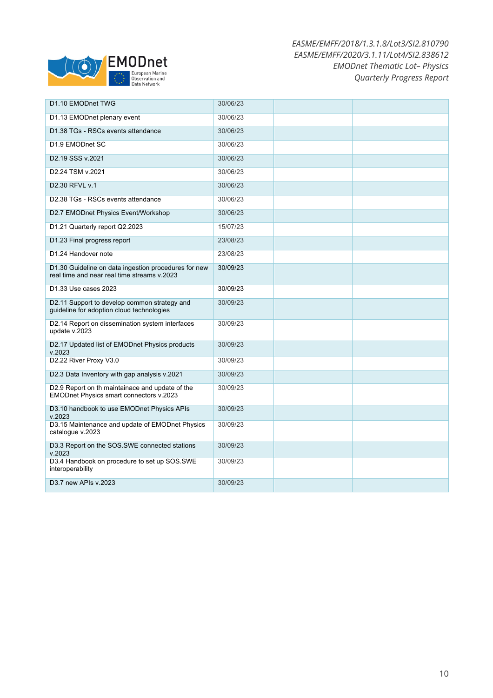

| D1.10 EMODnet TWG                                                                                   | 30/06/23 |  |
|-----------------------------------------------------------------------------------------------------|----------|--|
| D1.13 EMODnet plenary event                                                                         | 30/06/23 |  |
| D1.38 TGs - RSCs events attendance                                                                  | 30/06/23 |  |
| D1.9 EMODnet SC                                                                                     | 30/06/23 |  |
| D <sub>2.19</sub> SSS v.2021                                                                        | 30/06/23 |  |
| D2.24 TSM v.2021                                                                                    | 30/06/23 |  |
| D2.30 RFVL v.1                                                                                      | 30/06/23 |  |
| D2.38 TGs - RSCs events attendance                                                                  | 30/06/23 |  |
| D2.7 EMODnet Physics Event/Workshop                                                                 | 30/06/23 |  |
| D1.21 Quarterly report Q2.2023                                                                      | 15/07/23 |  |
| D1.23 Final progress report                                                                         | 23/08/23 |  |
| D1.24 Handover note                                                                                 | 23/08/23 |  |
| D1.30 Guideline on data ingestion procedures for new<br>real time and near real time streams v.2023 | 30/09/23 |  |
| D1.33 Use cases 2023                                                                                | 30/09/23 |  |
| D2.11 Support to develop common strategy and<br>guideline for adoption cloud technologies           | 30/09/23 |  |
| D2.14 Report on dissemination system interfaces<br>update v.2023                                    | 30/09/23 |  |
| D2.17 Updated list of EMODnet Physics products<br>v.2023                                            | 30/09/23 |  |
| D2.22 River Proxy V3.0                                                                              | 30/09/23 |  |
| D2.3 Data Inventory with gap analysis v.2021                                                        | 30/09/23 |  |
| D2.9 Report on th maintainace and update of the<br>EMODnet Physics smart connectors v.2023          | 30/09/23 |  |
| D3.10 handbook to use EMODnet Physics APIs<br>v.2023                                                | 30/09/23 |  |
| D3.15 Maintenance and update of EMODnet Physics<br>catalogue v.2023                                 | 30/09/23 |  |
| D3.3 Report on the SOS.SWE connected stations<br>v.2023                                             | 30/09/23 |  |
| D3.4 Handbook on procedure to set up SOS.SWE<br>interoperability                                    | 30/09/23 |  |
| D3.7 new APIs v.2023                                                                                | 30/09/23 |  |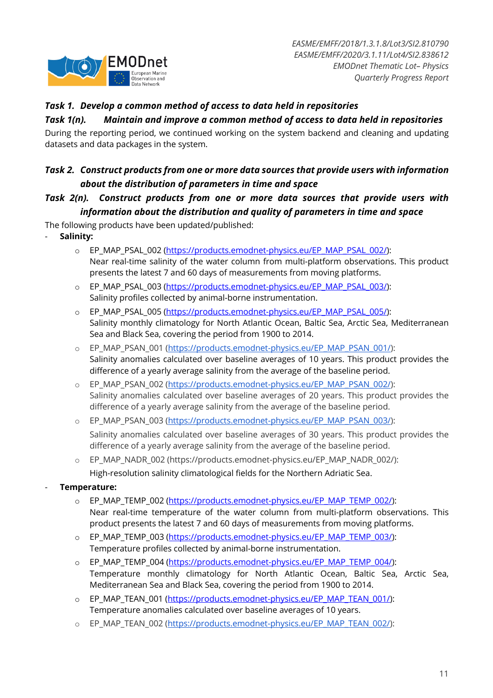

### *Task 1. Develop a common method of access to data held in repositories*

#### *Task 1(n). Maintain and improve a common method of access to data held in repositories*

During the reporting period, we continued working on the system backend and cleaning and updating datasets and data packages in the system.

### *Task 2. Construct products from one or more data sources that provide users with information about the distribution of parameters in time and space*

### *Task 2(n). Construct products from one or more data sources that provide users with information about the distribution and quality of parameters in time and space*

The following products have been updated/published:

- **Salinity:**
	- o EP\_MAP\_PSAL\_002 (https://products.emodnet-physics.eu/EP\_MAP\_PSAL\_002/): Near real-time salinity of the water column from multi-platform observations. This product presents the latest 7 and 60 days of measurements from moving platforms.
	- o EP\_MAP\_PSAL\_003 (https://products.emodnet-physics.eu/EP\_MAP\_PSAL\_003/): Salinity profiles collected by animal-borne instrumentation.
	- o EP\_MAP\_PSAL\_005 (https://products.emodnet-physics.eu/EP\_MAP\_PSAL\_005/): Salinity monthly climatology for North Atlantic Ocean, Baltic Sea, Arctic Sea, Mediterranean Sea and Black Sea, covering the period from 1900 to 2014.
	- o EP\_MAP\_PSAN\_001 (https://products.emodnet-physics.eu/EP\_MAP\_PSAN\_001/): Salinity anomalies calculated over baseline averages of 10 years. This product provides the difference of a yearly average salinity from the average of the baseline period.
	- o EP\_MAP\_PSAN\_002 (https://products.emodnet-physics.eu/EP\_MAP\_PSAN\_002/): Salinity anomalies calculated over baseline averages of 20 years. This product provides the difference of a yearly average salinity from the average of the baseline period.
	- o EP\_MAP\_PSAN\_003 (https://products.emodnet-physics.eu/EP\_MAP\_PSAN\_003/): Salinity anomalies calculated over baseline averages of 30 years. This product provides the difference of a yearly average salinity from the average of the baseline period.
	- o EP\_MAP\_NADR\_002 (https://products.emodnet-physics.eu/EP\_MAP\_NADR\_002/): High-resolution salinity climatological fields for the Northern Adriatic Sea.
- **Temperature:**
	- o EP\_MAP\_TEMP\_002 (https://products.emodnet-physics.eu/EP\_MAP\_TEMP\_002/): Near real-time temperature of the water column from multi-platform observations. This product presents the latest 7 and 60 days of measurements from moving platforms.
	- o EP\_MAP\_TEMP\_003 (https://products.emodnet-physics.eu/EP\_MAP\_TEMP\_003/): Temperature profiles collected by animal-borne instrumentation.
	- o EP\_MAP\_TEMP\_004 (https://products.emodnet-physics.eu/EP\_MAP\_TEMP\_004/): Temperature monthly climatology for North Atlantic Ocean, Baltic Sea, Arctic Sea, Mediterranean Sea and Black Sea, covering the period from 1900 to 2014.
	- o EP\_MAP\_TEAN\_001 (https://products.emodnet-physics.eu/EP\_MAP\_TEAN\_001/): Temperature anomalies calculated over baseline averages of 10 years.
	- o EP\_MAP\_TEAN\_002 (https://products.emodnet-physics.eu/EP\_MAP\_TEAN\_002/):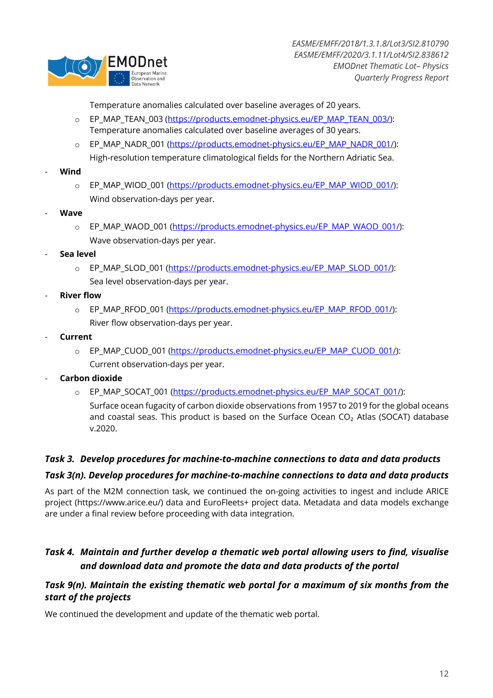

Temperature anomalies calculated over baseline averages of 20 years.

- o EP\_MAP\_TEAN\_003 (https://products.emodnet-physics.eu/EP\_MAP\_TEAN\_003/): Temperature anomalies calculated over baseline averages of 30 years.
- o EP\_MAP\_NADR\_001 (https://products.emodnet-physics.eu/EP\_MAP\_NADR\_001/): High-resolution temperature climatological fields for the Northern Adriatic Sea.
- **Wind**
	- o EP\_MAP\_WIOD\_001 (https://products.emodnet-physics.eu/EP\_MAP\_WIOD\_001/): Wind observation-days per year.
- **Wave**
	- o EP\_MAP\_WAOD\_001 (https://products.emodnet-physics.eu/EP\_MAP\_WAOD\_001/): Wave observation-days per year.
- **Sea level**
	- o EP\_MAP\_SLOD\_001 (https://products.emodnet-physics.eu/EP\_MAP\_SLOD\_001/): Sea level observation-days per year.
- **River flow** 
	- o EP\_MAP\_RFOD\_001 (https://products.emodnet-physics.eu/EP\_MAP\_RFOD\_001/): River flow observation-days per year.
- **Current**
	- o EP\_MAP\_CUOD\_001 (https://products.emodnet-physics.eu/EP\_MAP\_CUOD\_001/): Current observation-days per year.
- **Carbon dioxide**
	- o EP\_MAP\_SOCAT\_001 (https://products.emodnet-physics.eu/EP\_MAP\_SOCAT\_001/):

Surface ocean fugacity of carbon dioxide observations from 1957 to 2019 for the global oceans and coastal seas. This product is based on the Surface Ocean  $CO<sub>2</sub>$  Atlas (SOCAT) database v.2020.

#### *Task 3. Develop procedures for machine-to-machine connections to data and data products*

#### *Task 3(n). Develop procedures for machine-to-machine connections to data and data products*

As part of the M2M connection task, we continued the on-going activities to ingest and include ARICE project (https://www.arice.eu/) data and EuroFleets+ project data. Metadata and data models exchange are under a final review before proceeding with data integration.

### *Task 4. Maintain and further develop a thematic web portal allowing users to find, visualise and download data and promote the data and data products of the portal*

#### *Task 9(n). Maintain the existing thematic web portal for a maximum of six months from the start of the projects*

We continued the development and update of the thematic web portal.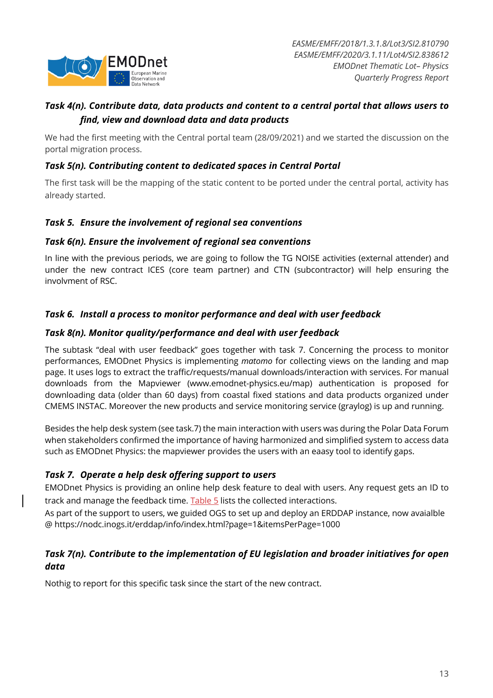

### *Task 4(n). Contribute data, data products and content to a central portal that allows users to find, view and download data and data products*

We had the first meeting with the Central portal team (28/09/2021) and we started the discussion on the portal migration process.

### *Task 5(n). Contributing content to dedicated spaces in Central Portal*

The first task will be the mapping of the static content to be ported under the central portal, activity has already started.

### *Task 5. Ensure the involvement of regional sea conventions*

#### *Task 6(n). Ensure the involvement of regional sea conventions*

In line with the previous periods, we are going to follow the TG NOISE activities (external attender) and under the new contract ICES (core team partner) and CTN (subcontractor) will help ensuring the involvment of RSC.

### *Task 6. Install a process to monitor performance and deal with user feedback*

#### *Task 8(n). Monitor quality/performance and deal with user feedback*

The subtask "deal with user feedback" goes together with task 7. Concerning the process to monitor performances, EMODnet Physics is implementing *matomo* for collecting views on the landing and map page. It uses logs to extract the traffic/requests/manual downloads/interaction with services. For manual downloads from the Mapviewer (www.emodnet-physics.eu/map) authentication is proposed for downloading data (older than 60 days) from coastal fixed stations and data products organized under CMEMS INSTAC. Moreover the new products and service monitoring service (graylog) is up and running.

Besides the help desk system (see task.7) the main interaction with users was during the Polar Data Forum when stakeholders confirmed the importance of having harmonized and simplified system to access data such as EMODnet Physics: the mapviewer provides the users with an eaasy tool to identify gaps.

#### *Task 7. Operate a help desk offering support to users*

EMODnet Physics is providing an online help desk feature to deal with users. Any request gets an ID to track and manage the feedback time. Table 5 lists the collected interactions.

As part of the support to users, we guided OGS to set up and deploy an ERDDAP instance, now avaialble @ https://nodc.inogs.it/erddap/info/index.html?page=1&itemsPerPage=1000

### *Task 7(n). Contribute to the implementation of EU legislation and broader initiatives for open data*

Nothig to report for this specific task since the start of the new contract.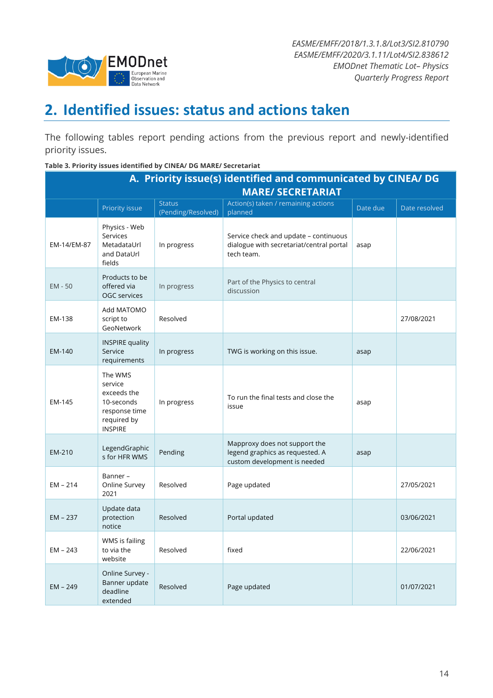

# **2. Identified issues: status and actions taken**

The following tables report pending actions from the previous report and newly-identified priority issues.

#### **Table 3. Priority issues identified by CINEA/ DG MARE/ Secretariat**

| A. Priority issue(s) identified and communicated by CINEA/ DG |                                                                                                   |                                     |                                                                                                  |          |               |  |  |  |
|---------------------------------------------------------------|---------------------------------------------------------------------------------------------------|-------------------------------------|--------------------------------------------------------------------------------------------------|----------|---------------|--|--|--|
| <b>MARE/ SECRETARIAT</b>                                      |                                                                                                   |                                     |                                                                                                  |          |               |  |  |  |
|                                                               | Priority issue                                                                                    | <b>Status</b><br>(Pending/Resolved) | Action(s) taken / remaining actions<br>planned                                                   | Date due | Date resolved |  |  |  |
| EM-14/EM-87                                                   | Physics - Web<br>Services<br>MetadataUrl<br>and DataUrl<br>fields                                 | In progress                         | Service check and update - continuous<br>dialogue with secretariat/central portal<br>tech team.  | asap     |               |  |  |  |
| $EM - 50$                                                     | Products to be<br>offered via<br>OGC services                                                     | In progress                         | Part of the Physics to central<br>discussion                                                     |          |               |  |  |  |
| EM-138                                                        | Add MATOMO<br>script to<br>GeoNetwork                                                             | Resolved                            |                                                                                                  |          | 27/08/2021    |  |  |  |
| EM-140                                                        | <b>INSPIRE quality</b><br>Service<br>requirements                                                 | In progress                         | TWG is working on this issue.                                                                    | asap     |               |  |  |  |
| EM-145                                                        | The WMS<br>service<br>exceeds the<br>10-seconds<br>response time<br>required by<br><b>INSPIRE</b> | In progress                         | To run the final tests and close the<br>issue                                                    | asap     |               |  |  |  |
| EM-210                                                        | LegendGraphic<br>s for HFR WMS                                                                    | Pending                             | Mapproxy does not support the<br>legend graphics as requested. A<br>custom development is needed | asap     |               |  |  |  |
| $EM - 214$                                                    | Banner-<br>Online Survey<br>2021                                                                  | Resolved                            | Page updated                                                                                     |          | 27/05/2021    |  |  |  |
| EM - 237                                                      | Update data<br>protection<br>notice                                                               | Resolved                            | Portal updated                                                                                   |          | 03/06/2021    |  |  |  |
| $EM - 243$                                                    | WMS is failing<br>to via the<br>website                                                           | Resolved                            | fixed                                                                                            |          | 22/06/2021    |  |  |  |
| $EM - 249$                                                    | Online Survey -<br>Banner update<br>deadline<br>extended                                          | Resolved                            | Page updated                                                                                     |          | 01/07/2021    |  |  |  |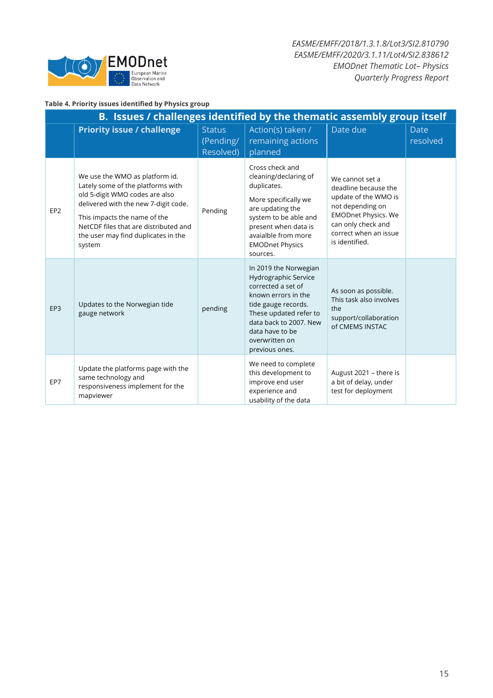

#### **Table 4. Priority issues identified by Physics group**

| B. Issues / challenges identified by the thematic assembly group itself |                                                                                                                                                                                                                                                                         |                                         |                                                                                                                                                                                                                              |                                                                                                                                                                                    |                         |  |  |  |
|-------------------------------------------------------------------------|-------------------------------------------------------------------------------------------------------------------------------------------------------------------------------------------------------------------------------------------------------------------------|-----------------------------------------|------------------------------------------------------------------------------------------------------------------------------------------------------------------------------------------------------------------------------|------------------------------------------------------------------------------------------------------------------------------------------------------------------------------------|-------------------------|--|--|--|
|                                                                         | <b>Priority issue / challenge</b>                                                                                                                                                                                                                                       | <b>Status</b><br>(Pending/<br>Resolved) | Action(s) taken /<br>remaining actions<br>planned                                                                                                                                                                            | Date due                                                                                                                                                                           | <b>Date</b><br>resolved |  |  |  |
| EP <sub>2</sub>                                                         | We use the WMO as platform id.<br>Lately some of the platforms with<br>old 5-digit WMO codes are also<br>delivered with the new 7-digit code.<br>This impacts the name of the<br>NetCDF files that are distributed and<br>the user may find duplicates in the<br>system | Pending                                 | Cross check and<br>cleaning/declaring of<br>duplicates.<br>More specifically we<br>are updating the<br>system to be able and<br>present when data is<br>avaialble from more<br><b>EMODnet Physics</b><br>sources.            | We cannot set a<br>deadline because the<br>update of the WMO is<br>not depending on<br><b>EMODnet Physics. We</b><br>can only check and<br>correct when an issue<br>is identified. |                         |  |  |  |
| EP <sub>3</sub>                                                         | Updates to the Norwegian tide<br>gauge network                                                                                                                                                                                                                          | pending                                 | In 2019 the Norwegian<br>Hydrographic Service<br>corrected a set of<br>known errors in the<br>tide gauge records.<br>These updated refer to<br>data back to 2007. New<br>data have to be<br>overwritten on<br>previous ones. | As soon as possible.<br>This task also involves<br>the<br>support/collaboration<br>of CMEMS INSTAC                                                                                 |                         |  |  |  |
| EP7                                                                     | Update the platforms page with the<br>same technology and<br>responsiveness implement for the<br>mapviewer                                                                                                                                                              |                                         | We need to complete<br>this development to<br>improve end user<br>experience and<br>usability of the data                                                                                                                    | August 2021 - there is<br>a bit of delay, under<br>test for deployment                                                                                                             |                         |  |  |  |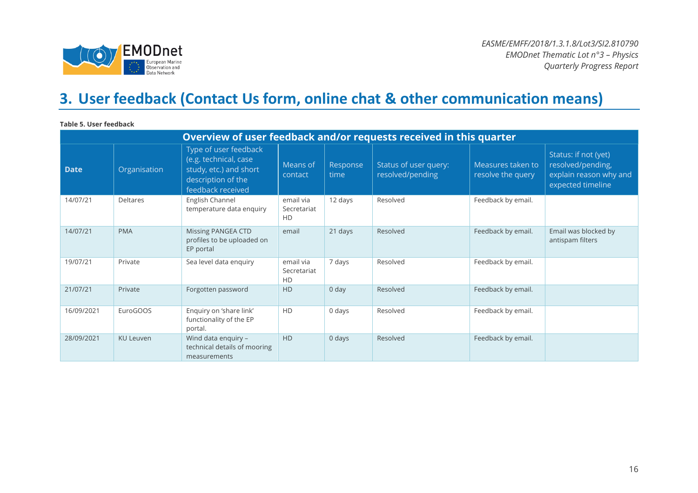

# **3. User feedback (Contact Us form, online chat & other communication means)**

**Table 5. User feedback**

| Overview of user feedback and/or requests received in this quarter |                  |                                                                                                                     |                                |                  |                                           |                                        |                                                                                          |  |
|--------------------------------------------------------------------|------------------|---------------------------------------------------------------------------------------------------------------------|--------------------------------|------------------|-------------------------------------------|----------------------------------------|------------------------------------------------------------------------------------------|--|
| <b>Date</b>                                                        | Organisation     | Type of user feedback<br>(e.g. technical, case<br>study, etc.) and short<br>description of the<br>feedback received | Means of<br>contact            | Response<br>time | Status of user query:<br>resolved/pending | Measures taken to<br>resolve the query | Status: if not (yet)<br>resolved/pending,<br>explain reason why and<br>expected timeline |  |
| 14/07/21                                                           | <b>Deltares</b>  | English Channel<br>temperature data enquiry                                                                         | email via<br>Secretariat<br>HD | 12 days          | Resolved                                  | Feedback by email.                     |                                                                                          |  |
| 14/07/21                                                           | <b>PMA</b>       | Missing PANGEA CTD<br>profiles to be uploaded on<br>EP portal                                                       | email                          | 21 days          | Resolved                                  | Feedback by email.                     | Email was blocked by<br>antispam filters                                                 |  |
| 19/07/21                                                           | Private          | Sea level data enquiry                                                                                              | email via<br>Secretariat<br>HD | 7 days           | Resolved                                  | Feedback by email.                     |                                                                                          |  |
| 21/07/21                                                           | Private          | Forgotten password                                                                                                  | <b>HD</b>                      | 0 <sub>day</sub> | Resolved                                  | Feedback by email.                     |                                                                                          |  |
| 16/09/2021                                                         | EuroGOOS         | Enquiry on 'share link'<br>functionality of the EP<br>portal.                                                       | HD                             | 0 days           | Resolved                                  | Feedback by email.                     |                                                                                          |  |
| 28/09/2021                                                         | <b>KU Leuven</b> | Wind data enquiry -<br>technical details of mooring<br>measurements                                                 | <b>HD</b>                      | 0 days           | Resolved                                  | Feedback by email.                     |                                                                                          |  |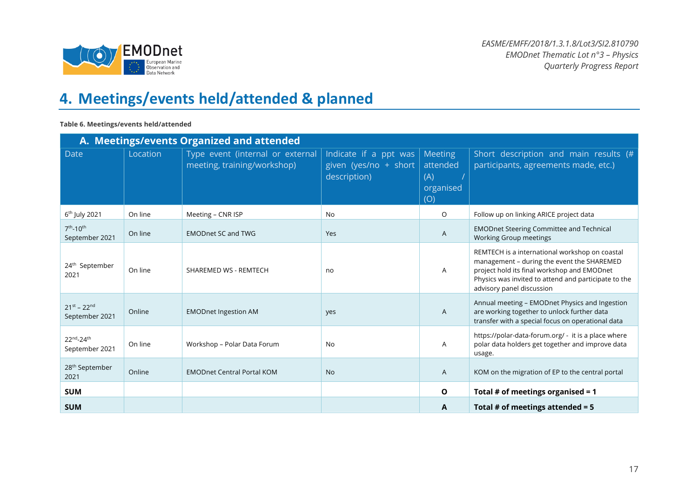

# **4. Meetings/events held/attended & planned**

#### **Table 6. Meetings/events held/attended**

|                                       |          | A. Meetings/events Organized and attended                       |                                                                |                                                |                                                                                                                                                                                                                                  |
|---------------------------------------|----------|-----------------------------------------------------------------|----------------------------------------------------------------|------------------------------------------------|----------------------------------------------------------------------------------------------------------------------------------------------------------------------------------------------------------------------------------|
| Date                                  | Location | Type event (internal or external<br>meeting, training/workshop) | Indicate if a ppt was<br>given (yes/no + short<br>description) | Meeting<br>attended<br>(A)<br>organised<br>(O) | Short description and main results (#<br>participants, agreements made, etc.)                                                                                                                                                    |
| 6 <sup>th</sup> July 2021             | On line  | Meeting - CNR ISP                                               | <b>No</b>                                                      | O                                              | Follow up on linking ARICE project data                                                                                                                                                                                          |
| $7^{th} - 10^{th}$<br>September 2021  | On line  | <b>EMODnet SC and TWG</b>                                       | Yes                                                            | A                                              | <b>EMODnet Steering Committee and Technical</b><br>Working Group meetings                                                                                                                                                        |
| 24 <sup>th</sup> September<br>2021    | On line  | SHAREMED WS - REMTECH                                           | no                                                             | A                                              | REMTECH is a international workshop on coastal<br>management - during the event the SHAREMED<br>project hold its final workshop and EMODnet<br>Physics was invited to attend and participate to the<br>advisory panel discussion |
| $21^{st} - 22^{nd}$<br>September 2021 | Online   | <b>EMODnet Ingestion AM</b>                                     | yes                                                            | A                                              | Annual meeting - EMODnet Physics and Ingestion<br>are working together to unlock further data<br>transfer with a special focus on operational data                                                                               |
| 22nd-24th<br>September 2021           | On line  | Workshop - Polar Data Forum                                     | <b>No</b>                                                      | A                                              | https://polar-data-forum.org/ - it is a place where<br>polar data holders get together and improve data<br>usage.                                                                                                                |
| 28 <sup>th</sup> September<br>2021    | Online   | <b>EMODnet Central Portal KOM</b>                               | <b>No</b>                                                      | A                                              | KOM on the migration of EP to the central portal                                                                                                                                                                                 |
| <b>SUM</b>                            |          |                                                                 |                                                                | O                                              | Total # of meetings organised = $1$                                                                                                                                                                                              |
| <b>SUM</b>                            |          |                                                                 |                                                                | A                                              | Total # of meetings attended = $5$                                                                                                                                                                                               |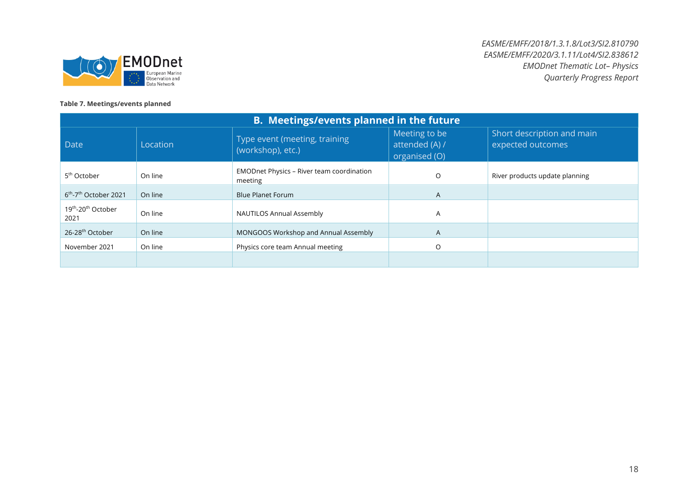

#### **Table 7. Meetings/events planned**

| <b>B. Meetings/events planned in the future</b>    |          |                                                             |                                                  |                                                 |
|----------------------------------------------------|----------|-------------------------------------------------------------|--------------------------------------------------|-------------------------------------------------|
| Date                                               | Location | Type event (meeting, training<br>(workshop), etc.)          | Meeting to be<br>attended (A) /<br>organised (O) | Short description and main<br>expected outcomes |
| 5 <sup>th</sup> October                            | On line  | <b>EMODnet Physics - River team coordination</b><br>meeting | O                                                | River products update planning                  |
| 6 <sup>th</sup> -7 <sup>th</sup> October 2021      | On line  | <b>Blue Planet Forum</b>                                    | A                                                |                                                 |
| 19 <sup>th</sup> -20 <sup>th</sup> October<br>2021 | On line  | <b>NAUTILOS Annual Assembly</b>                             | A                                                |                                                 |
| 26-28 <sup>th</sup> October                        | On line  | MONGOOS Workshop and Annual Assembly                        | $\mathsf{A}$                                     |                                                 |
| November 2021                                      | On line  | Physics core team Annual meeting                            | O                                                |                                                 |
|                                                    |          |                                                             |                                                  |                                                 |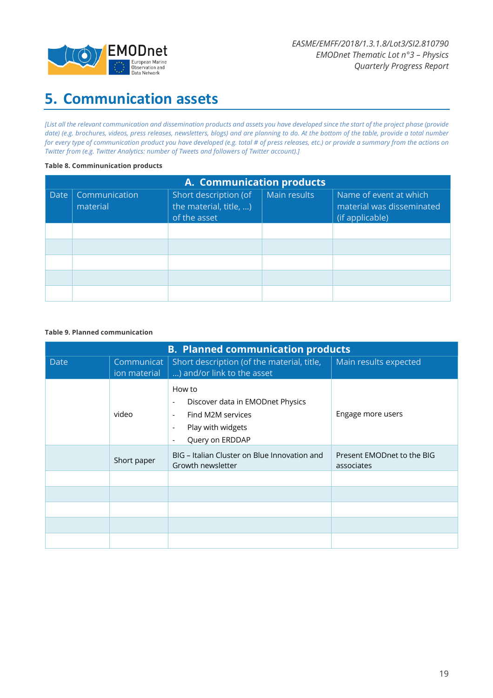

# **5. Communication assets**

*[List all the relevant communication and dissemination products and assets you have developed since the start of the project phase (provide date) (e.g. brochures, videos, press releases, newsletters, blogs) and are planning to do. At the bottom of the table, provide a total number for every type of communication product you have developed (e.g. total # of press releases, etc.) or provide a summary from the actions on Twitter from (e.g. Twitter Analytics: number of Tweets and followers of Twitter account).]*

#### **Table 8. Comminunication products**

| A. Communication products |                           |                                                                 |              |                                                                        |
|---------------------------|---------------------------|-----------------------------------------------------------------|--------------|------------------------------------------------------------------------|
| Date                      | Communication<br>material | Short description (of<br>the material, title, )<br>of the asset | Main results | Name of event at which<br>material was disseminated<br>(if applicable) |
|                           |                           |                                                                 |              |                                                                        |
|                           |                           |                                                                 |              |                                                                        |
|                           |                           |                                                                 |              |                                                                        |
|                           |                           |                                                                 |              |                                                                        |
|                           |                           |                                                                 |              |                                                                        |

#### **Table 9. Planned communication**

| <b>B. Planned communication products</b> |                            |                                                                                                                                                                                                                         |                                          |  |
|------------------------------------------|----------------------------|-------------------------------------------------------------------------------------------------------------------------------------------------------------------------------------------------------------------------|------------------------------------------|--|
| <b>Date</b>                              | Communicat<br>ion material | Short description (of the material, title,<br>) and/or link to the asset                                                                                                                                                | Main results expected                    |  |
|                                          | video                      | How to<br>Discover data in EMODnet Physics<br>$\overline{\phantom{a}}$<br>Find M2M services<br>$\overline{\phantom{a}}$<br>Play with widgets<br>$\overline{\phantom{a}}$<br>Query on ERDDAP<br>$\overline{\phantom{a}}$ | Engage more users                        |  |
|                                          | Short paper                | BIG - Italian Cluster on Blue Innovation and<br>Growth newsletter                                                                                                                                                       | Present EMODnet to the BIG<br>associates |  |
|                                          |                            |                                                                                                                                                                                                                         |                                          |  |
|                                          |                            |                                                                                                                                                                                                                         |                                          |  |
|                                          |                            |                                                                                                                                                                                                                         |                                          |  |
|                                          |                            |                                                                                                                                                                                                                         |                                          |  |
|                                          |                            |                                                                                                                                                                                                                         |                                          |  |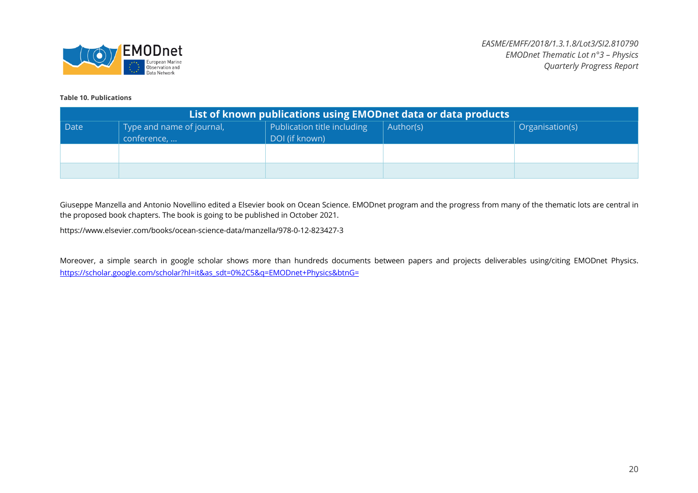

#### **Table 10. Publications**

| List of known publications using EMODnet data or data products |                                          |                                               |           |                 |
|----------------------------------------------------------------|------------------------------------------|-----------------------------------------------|-----------|-----------------|
| Date                                                           | Type and name of journal,<br>conference, | Publication title including<br>DOI (if known) | Author(s) | Organisation(s) |
|                                                                |                                          |                                               |           |                 |
|                                                                |                                          |                                               |           |                 |

Giuseppe Manzella and Antonio Novellino edited a Elsevier book on Ocean Science. EMODnet program and the progress from many of the thematic lots are central in the proposed book chapters. The book is going to be published in October 2021.

https://www.elsevier.com/books/ocean-science-data/manzella/978-0-12-823427-3

Moreover, a simple search in google scholar shows more than hundreds documents between papers and projects deliverables using/citing EMODnet Physics. https://scholar.google.com/scholar?hl=it&as\_sdt=0%2C5&q=EMODnet+Physics&btnG=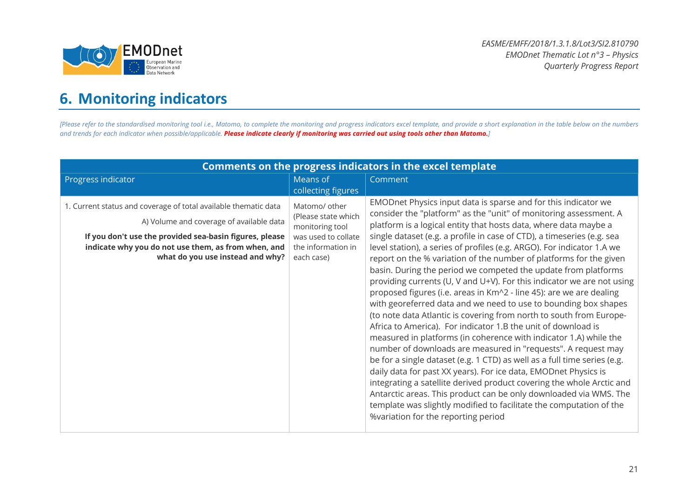

# **6. Monitoring indicators**

[Please refer to the standardised monitoring tool i.e., Matomo, to complete the monitoring and progress indicators excel template, and provide a short explanation in the table below on the numbers *and trends for each indicator when possible/applicable. Please indicate clearly if monitoring was carried out using tools other than Matomo.]*

| <b>Comments on the progress indicators in the excel template</b>                                                                                                                                                                                                  |                                                                                                                    |                                                                                                                                                                                                                                                                                                                                                                                                                                                                                                                                                                                                                                                                                                                                                                                                                                                                                                                                                                                                                                                                                                                                                                                                                                                                                                                                                                                                                  |  |
|-------------------------------------------------------------------------------------------------------------------------------------------------------------------------------------------------------------------------------------------------------------------|--------------------------------------------------------------------------------------------------------------------|------------------------------------------------------------------------------------------------------------------------------------------------------------------------------------------------------------------------------------------------------------------------------------------------------------------------------------------------------------------------------------------------------------------------------------------------------------------------------------------------------------------------------------------------------------------------------------------------------------------------------------------------------------------------------------------------------------------------------------------------------------------------------------------------------------------------------------------------------------------------------------------------------------------------------------------------------------------------------------------------------------------------------------------------------------------------------------------------------------------------------------------------------------------------------------------------------------------------------------------------------------------------------------------------------------------------------------------------------------------------------------------------------------------|--|
| Progress indicator                                                                                                                                                                                                                                                | Means of<br>collecting figures                                                                                     | Comment                                                                                                                                                                                                                                                                                                                                                                                                                                                                                                                                                                                                                                                                                                                                                                                                                                                                                                                                                                                                                                                                                                                                                                                                                                                                                                                                                                                                          |  |
| 1. Current status and coverage of total available thematic data<br>A) Volume and coverage of available data<br>If you don't use the provided sea-basin figures, please<br>indicate why you do not use them, as from when, and<br>what do you use instead and why? | Matomo/ other<br>(Please state which<br>monitoring tool<br>was used to collate<br>the information in<br>each case) | EMODnet Physics input data is sparse and for this indicator we<br>consider the "platform" as the "unit" of monitoring assessment. A<br>platform is a logical entity that hosts data, where data maybe a<br>single dataset (e.g. a profile in case of CTD), a timeseries (e.g. sea<br>level station), a series of profiles (e.g. ARGO). For indicator 1.A we<br>report on the % variation of the number of platforms for the given<br>basin. During the period we competed the update from platforms<br>providing currents (U, V and U+V). For this indicator we are not using<br>proposed figures (i.e. areas in Km^2 - line 45): are we are dealing<br>with georeferred data and we need to use to bounding box shapes<br>(to note data Atlantic is covering from north to south from Europe-<br>Africa to America). For indicator 1.B the unit of download is<br>measured in platforms (in coherence with indicator 1.A) while the<br>number of downloads are measured in "requests". A request may<br>be for a single dataset (e.g. 1 CTD) as well as a full time series (e.g.<br>daily data for past XX years). For ice data, EMODnet Physics is<br>integrating a satellite derived product covering the whole Arctic and<br>Antarctic areas. This product can be only downloaded via WMS. The<br>template was slightly modified to facilitate the computation of the<br>%variation for the reporting period |  |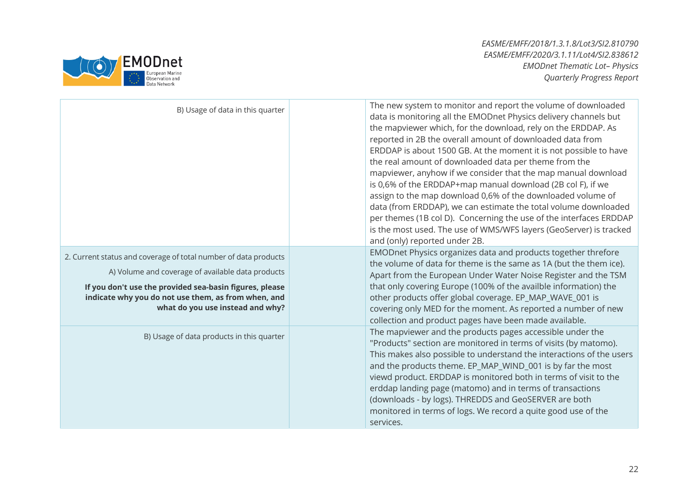

| B) Usage of data in this quarter                                                                                                                                                                                                                                           | The new system to monitor and report the volume of downloaded<br>data is monitoring all the EMODnet Physics delivery channels but<br>the mapviewer which, for the download, rely on the ERDDAP. As<br>reported in 2B the overall amount of downloaded data from<br>ERDDAP is about 1500 GB. At the moment it is not possible to have<br>the real amount of downloaded data per theme from the<br>mapviewer, anyhow if we consider that the map manual download<br>is 0,6% of the ERDDAP+map manual download (2B col F), if we<br>assign to the map download 0,6% of the downloaded volume of<br>data (from ERDDAP), we can estimate the total volume downloaded<br>per themes (1B col D). Concerning the use of the interfaces ERDDAP<br>is the most used. The use of WMS/WFS layers (GeoServer) is tracked<br>and (only) reported under 2B. |
|----------------------------------------------------------------------------------------------------------------------------------------------------------------------------------------------------------------------------------------------------------------------------|----------------------------------------------------------------------------------------------------------------------------------------------------------------------------------------------------------------------------------------------------------------------------------------------------------------------------------------------------------------------------------------------------------------------------------------------------------------------------------------------------------------------------------------------------------------------------------------------------------------------------------------------------------------------------------------------------------------------------------------------------------------------------------------------------------------------------------------------|
| 2. Current status and coverage of total number of data products<br>A) Volume and coverage of available data products<br>If you don't use the provided sea-basin figures, please<br>indicate why you do not use them, as from when, and<br>what do you use instead and why? | EMODnet Physics organizes data and products together threfore<br>the volume of data for theme is the same as 1A (but the them ice).<br>Apart from the European Under Water Noise Register and the TSM<br>that only covering Europe (100% of the availble information) the<br>other products offer global coverage. EP_MAP_WAVE_001 is<br>covering only MED for the moment. As reported a number of new<br>collection and product pages have been made available.                                                                                                                                                                                                                                                                                                                                                                             |
| B) Usage of data products in this quarter                                                                                                                                                                                                                                  | The mapviewer and the products pages accessible under the<br>"Products" section are monitored in terms of visits (by matomo).<br>This makes also possible to understand the interactions of the users<br>and the products theme. EP_MAP_WIND_001 is by far the most<br>viewd product. ERDDAP is monitored both in terms of visit to the<br>erddap landing page (matomo) and in terms of transactions<br>(downloads - by logs). THREDDS and GeoSERVER are both<br>monitored in terms of logs. We record a quite good use of the<br>services.                                                                                                                                                                                                                                                                                                  |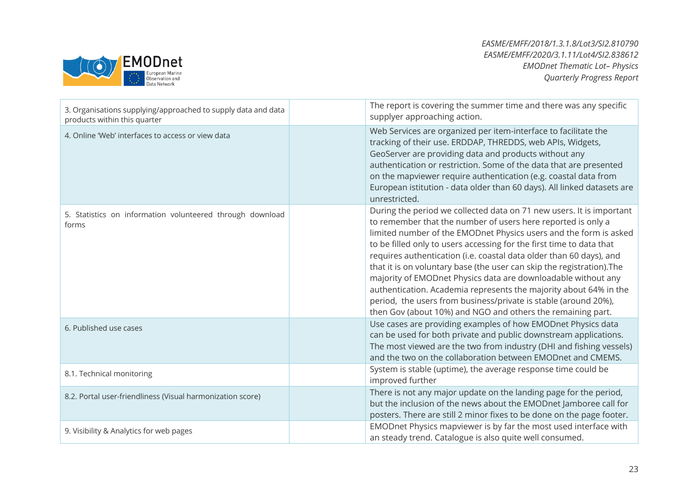

| 3. Organisations supplying/approached to supply data and data<br>products within this quarter | The report is covering the summer time and there was any specific<br>supplyer approaching action.                                                                                                                                                                                                                                                                                                                                                                                                                                                                                                                                                                                                          |
|-----------------------------------------------------------------------------------------------|------------------------------------------------------------------------------------------------------------------------------------------------------------------------------------------------------------------------------------------------------------------------------------------------------------------------------------------------------------------------------------------------------------------------------------------------------------------------------------------------------------------------------------------------------------------------------------------------------------------------------------------------------------------------------------------------------------|
| 4. Online 'Web' interfaces to access or view data                                             | Web Services are organized per item-interface to facilitate the<br>tracking of their use. ERDDAP, THREDDS, web APIs, Widgets,<br>GeoServer are providing data and products without any<br>authentication or restriction. Some of the data that are presented<br>on the mapviewer require authentication (e.g. coastal data from<br>European istitution - data older than 60 days). All linked datasets are<br>unrestricted.                                                                                                                                                                                                                                                                                |
| 5. Statistics on information volunteered through download<br>forms                            | During the period we collected data on 71 new users. It is important<br>to remember that the number of users here reported is only a<br>limited number of the EMODnet Physics users and the form is asked<br>to be filled only to users accessing for the first time to data that<br>requires authentication (i.e. coastal data older than 60 days), and<br>that it is on voluntary base (the user can skip the registration). The<br>majority of EMODnet Physics data are downloadable without any<br>authentication. Academia represents the majority about 64% in the<br>period, the users from business/private is stable (around 20%),<br>then Gov (about 10%) and NGO and others the remaining part. |
| 6. Published use cases                                                                        | Use cases are providing examples of how EMODnet Physics data<br>can be used for both private and public downstream applications.<br>The most viewed are the two from industry (DHI and fishing vessels)<br>and the two on the collaboration between EMODnet and CMEMS.                                                                                                                                                                                                                                                                                                                                                                                                                                     |
| 8.1. Technical monitoring                                                                     | System is stable (uptime), the average response time could be<br>improved further                                                                                                                                                                                                                                                                                                                                                                                                                                                                                                                                                                                                                          |
| 8.2. Portal user-friendliness (Visual harmonization score)                                    | There is not any major update on the landing page for the period,<br>but the inclusion of the news about the EMODnet Jamboree call for<br>posters. There are still 2 minor fixes to be done on the page footer.                                                                                                                                                                                                                                                                                                                                                                                                                                                                                            |
| 9. Visibility & Analytics for web pages                                                       | EMODnet Physics mapviewer is by far the most used interface with<br>an steady trend. Catalogue is also quite well consumed.                                                                                                                                                                                                                                                                                                                                                                                                                                                                                                                                                                                |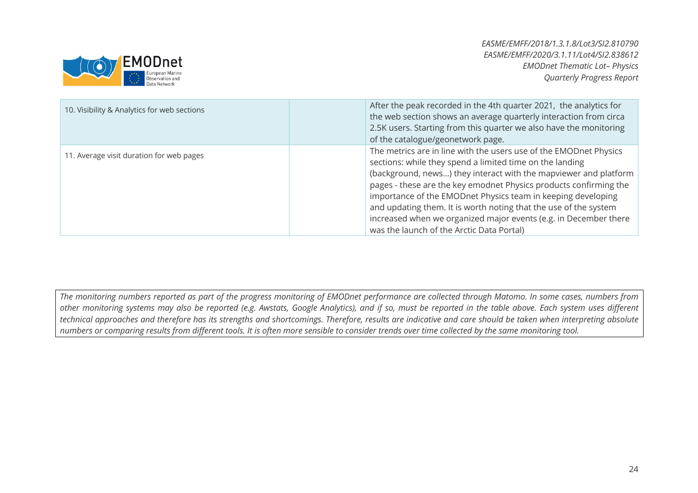

| 10. Visibility & Analytics for web sections | After the peak recorded in the 4th quarter 2021, the analytics for<br>the web section shows an average quarterly interaction from circa<br>2.5K users. Starting from this quarter we also have the monitoring<br>of the catalogue/geonetwork page.                                                                                                                                                                                                                                                                          |
|---------------------------------------------|-----------------------------------------------------------------------------------------------------------------------------------------------------------------------------------------------------------------------------------------------------------------------------------------------------------------------------------------------------------------------------------------------------------------------------------------------------------------------------------------------------------------------------|
| 11. Average visit duration for web pages    | The metrics are in line with the users use of the EMODnet Physics<br>sections: while they spend a limited time on the landing<br>(background, news) they interact with the mapviewer and platform<br>pages - these are the key emodnet Physics products confirming the<br>importance of the EMODnet Physics team in keeping developing<br>and updating them. It is worth noting that the use of the system<br>increased when we organized major events (e.g. in December there<br>was the launch of the Arctic Data Portal) |

*The monitoring numbers reported as part of the progress monitoring of EMODnet performance are collected through Matomo. In some cases, numbers from other monitoring systems may also be reported (e.g. Awstats, Google Analytics), and if so, must be reported in the table above. Each system uses different technical approaches and therefore has its strengths and shortcomings. Therefore, results are indicative and care should be taken when interpreting absolute numbers or comparing results from different tools. It is often more sensible to consider trends over time collected by the same monitoring tool.*